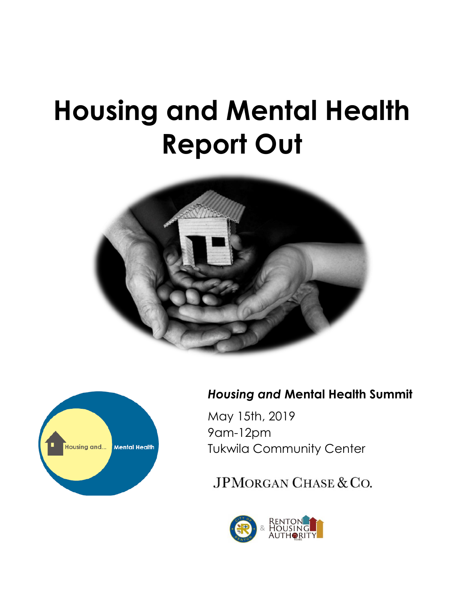# **Housing and Mental Health Report Out**





### *Housing and* **Mental Health Summit**

May 15th, 2019 9am-12pm Tukwila Community Center

JPMORGAN CHASE & CO.

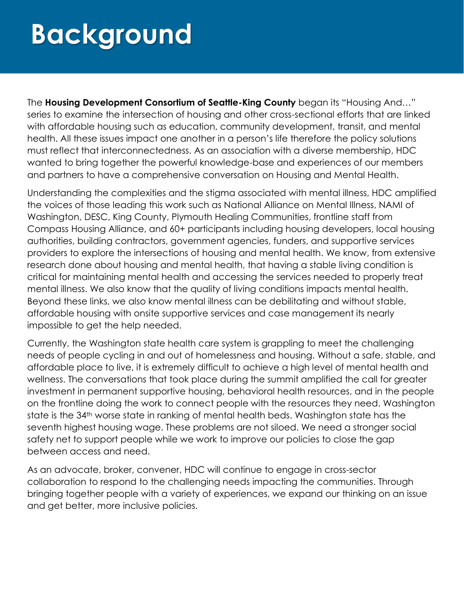## **Background**

The **Housing Development Consortium of Seattle-King County** began its "Housing And…" series to examine the intersection of housing and other cross-sectional efforts that are linked with affordable housing such as education, community development, transit, and mental health. All these issues impact one another in a person's life therefore the policy solutions must reflect that interconnectedness. As an association with a diverse membership, HDC wanted to bring together the powerful knowledge-base and experiences of our members and partners to have a comprehensive conversation on Housing and Mental Health.

Understanding the complexities and the stigma associated with mental illness, HDC amplified the voices of those leading this work such as National Alliance on Mental Illness, NAMI of Washington, DESC, King County, Plymouth Healing Communities, frontline staff from Compass Housing Alliance, and 60+ participants including housing developers, local housing authorities, building contractors, government agencies, funders, and supportive services providers to explore the intersections of housing and mental health. We know, from extensive research done about housing and mental health, that having a stable living condition is critical for maintaining mental health and accessing the services needed to properly treat mental illness. We also know that the quality of living conditions impacts mental health. Beyond these links, we also know mental illness can be debilitating and without stable, affordable housing with onsite supportive services and case management its nearly impossible to get the help needed.

Currently, the Washington state health care system is grappling to meet the challenging needs of people cycling in and out of homelessness and housing. Without a safe, stable, and affordable place to live, it is extremely difficult to achieve a high level of mental health and wellness. The conversations that took place during the summit amplified the call for greater investment in permanent supportive housing, behavioral health resources, and in the people on the frontline doing the work to connect people with the resources they need. Washington state is the 34<sup>th</sup> worse state in ranking of mental health beds. Washington state has the seventh highest housing wage. These problems are not siloed. We need a stronger social safety net to support people while we work to improve our policies to close the gap between access and need.

As an advocate, broker, convener, HDC will continue to engage in cross-sector collaboration to respond to the challenging needs impacting the communities. Through bringing together people with a variety of experiences, we expand our thinking on an issue and get better, more inclusive policies.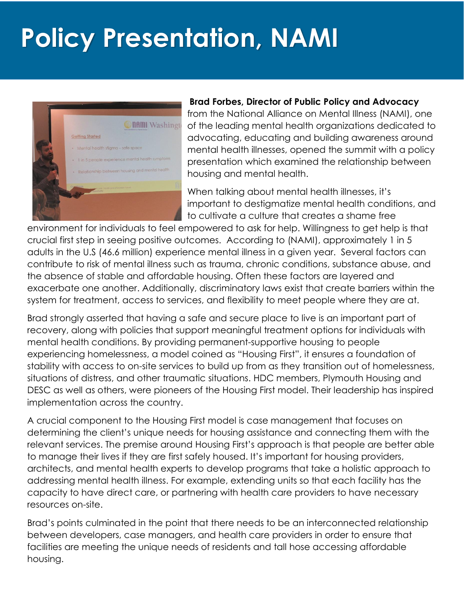## **Policy Presentation, NAMI**



#### **Brad Forbes, Director of Public Policy and Advocacy**

from the National Alliance on Mental Illness (NAMI), one of the leading mental health organizations dedicated to advocating, educating and building awareness around mental health illnesses, opened the summit with a policy presentation which examined the relationship between housing and mental health.

When talking about mental health illnesses, it's important to destigmatize mental health conditions, and to cultivate a culture that creates a shame free

environment for individuals to feel empowered to ask for help. Willingness to get help is that crucial first step in seeing positive outcomes. According to (NAMI), approximately 1 in 5 adults in the U.S (46.6 million) experience mental illness in a given year. Several factors can contribute to risk of mental illness such as trauma, chronic conditions, substance abuse, and the absence of stable and affordable housing. Often these factors are layered and exacerbate one another. Additionally, discriminatory laws exist that create barriers within the system for treatment, access to services, and flexibility to meet people where they are at.

Brad strongly asserted that having a safe and secure place to live is an important part of recovery, along with policies that support meaningful treatment options for individuals with mental health conditions. By providing permanent-supportive housing to people experiencing homelessness, a model coined as "Housing First", it ensures a foundation of stability with access to on-site services to build up from as they transition out of homelessness, situations of distress, and other traumatic situations. HDC members, Plymouth Housing and DESC as well as others, were pioneers of the Housing First model. Their leadership has inspired implementation across the country.

A crucial component to the Housing First model is case management that focuses on determining the client's unique needs for housing assistance and connecting them with the relevant services. The premise around Housing First's approach is that people are better able to manage their lives if they are first safely housed. It's important for housing providers, architects, and mental health experts to develop programs that take a holistic approach to addressing mental health illness. For example, extending units so that each facility has the capacity to have direct care, or partnering with health care providers to have necessary resources on-site.

Brad's points culminated in the point that there needs to be an interconnected relationship between developers, case managers, and health care providers in order to ensure that facilities are meeting the unique needs of residents and tall hose accessing affordable housing.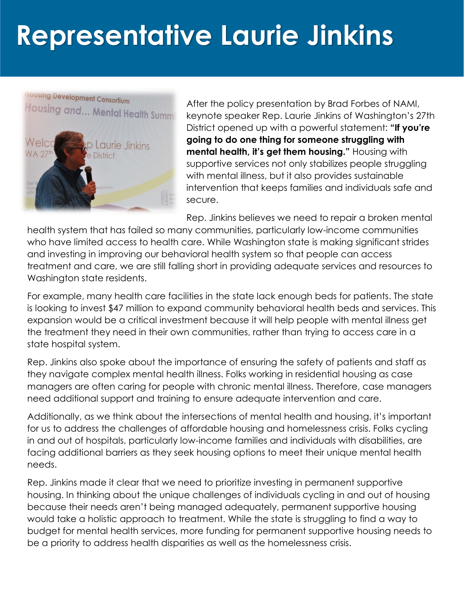# **Representative Laurie Jinkins**



After the policy presentation by Brad Forbes of NAMI, keynote speaker Rep. Laurie Jinkins of Washington's 27th District opened up with a powerful statement: **"If you're going to do one thing for someone struggling with mental health, it's get them housing."** Housing with supportive services not only stabilizes people struggling with mental illness, but it also provides sustainable intervention that keeps families and individuals safe and secure.

Rep. Jinkins believes we need to repair a broken mental

health system that has failed so many communities, particularly low-income communities who have limited access to health care. While Washington state is making significant strides and investing in improving our behavioral health system so that people can access treatment and care, we are still falling short in providing adequate services and resources to Washington state residents.

For example, many health care facilities in the state lack enough beds for patients. The state is looking to invest \$47 million to expand community behavioral health beds and services. This expansion would be a critical investment because it will help people with mental illness get the treatment they need in their own communities, rather than trying to access care in a state hospital system.

Rep. Jinkins also spoke about the importance of ensuring the safety of patients and staff as they navigate complex mental health illness. Folks working in residential housing as case managers are often caring for people with chronic mental illness. Therefore, case managers need additional support and training to ensure adequate intervention and care.

Additionally, as we think about the intersections of mental health and housing, it's important for us to address the challenges of affordable housing and homelessness crisis. Folks cycling in and out of hospitals, particularly low-income families and individuals with disabilities, are facing additional barriers as they seek housing options to meet their unique mental health needs.

Rep. Jinkins made it clear that we need to prioritize investing in permanent supportive housing. In thinking about the unique challenges of individuals cycling in and out of housing because their needs aren't being managed adequately, permanent supportive housing would take a holistic approach to treatment. While the state is struggling to find a way to budget for mental health services, more funding for permanent supportive housing needs to be a priority to address health disparities as well as the homelessness crisis.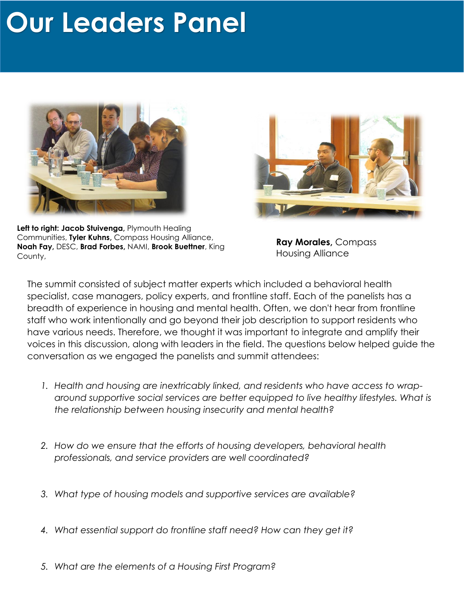### **Our Leaders Panel**





**Left to right: Jacob Stuivenga,** Plymouth Healing Communities, **Tyler Kuhns,** Compass Housing Alliance, **Noah Fay,** DESC, **Brad Forbes,** NAMI, **Brook Buettner**, King County,

**Ray Morales,** Compass Housing Alliance

The summit consisted of subject matter experts which included a behavioral health specialist, case managers, policy experts, and frontline staff. Each of the panelists has a breadth of experience in housing and mental health. Often, we don't hear from frontline staff who work intentionally and go beyond their job description to support residents who have various needs. Therefore, we thought it was important to integrate and amplify their voices in this discussion, along with leaders in the field. The questions below helped guide the conversation as we engaged the panelists and summit attendees:

- *1. Health and housing are inextricably linked, and residents who have access to wraparound supportive social services are better equipped to live healthy lifestyles. What is the relationship between housing insecurity and mental health?*
- *2. How do we ensure that the efforts of housing developers, behavioral health professionals, and service providers are well coordinated?*
- *3. What type of housing models and supportive services are available?*
- *4. What essential support do frontline staff need? How can they get it?*
- *5. What are the elements of a Housing First Program?*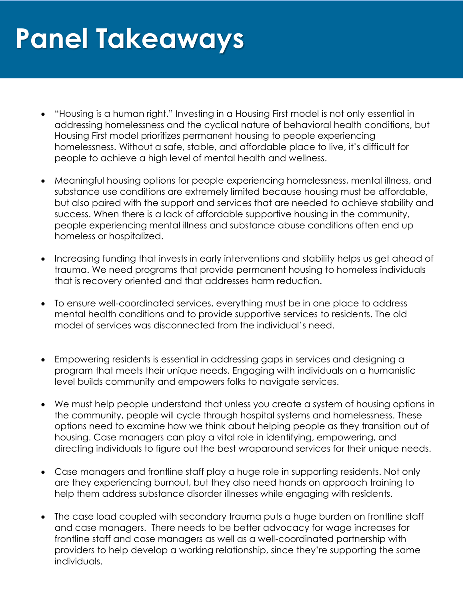### **Panel Takeaways**

- "Housing is a human right." Investing in a Housing First model is not only essential in addressing homelessness and the cyclical nature of behavioral health conditions, but Housing First model prioritizes permanent housing to people experiencing homelessness. Without a safe, stable, and affordable place to live, it's difficult for people to achieve a high level of mental health and wellness.
- Meaningful housing options for people experiencing homelessness, mental illness, and substance use conditions are extremely limited because housing must be affordable, but also paired with the support and services that are needed to achieve stability and success. When there is a lack of affordable supportive housing in the community, people experiencing mental illness and substance abuse conditions often end up homeless or hospitalized.
- Increasing funding that invests in early interventions and stability helps us get ahead of trauma. We need programs that provide permanent housing to homeless individuals that is recovery oriented and that addresses harm reduction.
- To ensure well-coordinated services, everything must be in one place to address mental health conditions and to provide supportive services to residents. The old model of services was disconnected from the individual's need.
- Empowering residents is essential in addressing gaps in services and designing a program that meets their unique needs. Engaging with individuals on a humanistic level builds community and empowers folks to navigate services.
- We must help people understand that unless you create a system of housing options in the community, people will cycle through hospital systems and homelessness. These options need to examine how we think about helping people as they transition out of housing. Case managers can play a vital role in identifying, empowering, and directing individuals to figure out the best wraparound services for their unique needs.
- Case managers and frontline staff play a huge role in supporting residents. Not only are they experiencing burnout, but they also need hands on approach training to help them address substance disorder illnesses while engaging with residents.
- The case load coupled with secondary trauma puts a huge burden on frontline staff and case managers. There needs to be better advocacy for wage increases for frontline staff and case managers as well as a well-coordinated partnership with providers to help develop a working relationship, since they're supporting the same individuals.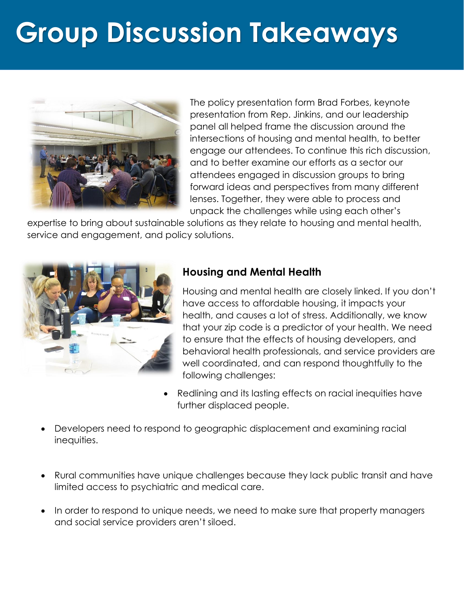# **Group Discussion Takeaways**



The policy presentation form Brad Forbes, keynote presentation from Rep. Jinkins, and our leadership panel all helped frame the discussion around the intersections of housing and mental health, to better engage our attendees. To continue this rich discussion, and to better examine our efforts as a sector our attendees engaged in discussion groups to bring forward ideas and perspectives from many different lenses. Together, they were able to process and unpack the challenges while using each other's

expertise to bring about sustainable solutions as they relate to housing and mental health, service and engagement, and policy solutions.



### **Housing and Mental Health**

Housing and mental health are closely linked. If you don't have access to affordable housing, it impacts your health, and causes a lot of stress. Additionally, we know that your zip code is a predictor of your health. We need to ensure that the effects of housing developers, and behavioral health professionals, and service providers are well coordinated, and can respond thoughtfully to the following challenges:

- Redlining and its lasting effects on racial inequities have further displaced people.
- Developers need to respond to geographic displacement and examining racial inequities.
- Rural communities have unique challenges because they lack public transit and have limited access to psychiatric and medical care.
- In order to respond to unique needs, we need to make sure that property managers and social service providers aren't siloed.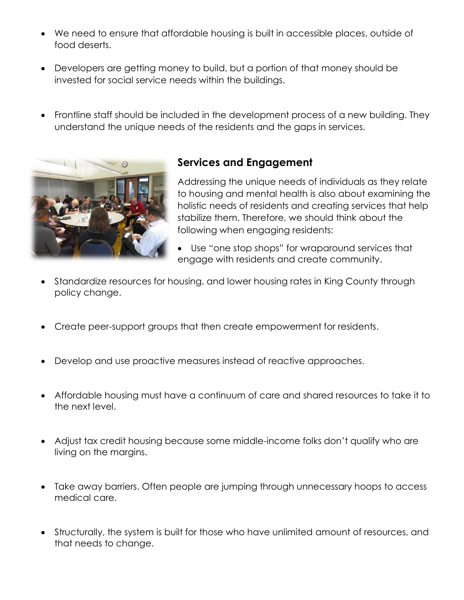- We need to ensure that affordable housing is built in accessible places, outside of food deserts.
- Developers are getting money to build, but a portion of that money should be invested for social service needs within the buildings.
- Frontline staff should be included in the development process of a new building. They understand the unique needs of the residents and the gaps in services.



### **Services and Engagement**

Addressing the unique needs of individuals as they relate to housing and mental health is also about examining the holistic needs of residents and creating services that help stabilize them. Therefore, we should think about the following when engaging residents:

- Use "one stop shops" for wraparound services that engage with residents and create community.
- Standardize resources for housing, and lower housing rates in King County through policy change.
- Create peer-support groups that then create empowerment for residents.
- Develop and use proactive measures instead of reactive approaches.
- Affordable housing must have a continuum of care and shared resources to take it to the next level.
- Adjust tax credit housing because some middle-income folks don't qualify who are living on the margins.
- Take away barriers. Often people are jumping through unnecessary hoops to access medical care.
- Structurally, the system is built for those who have unlimited amount of resources, and that needs to change.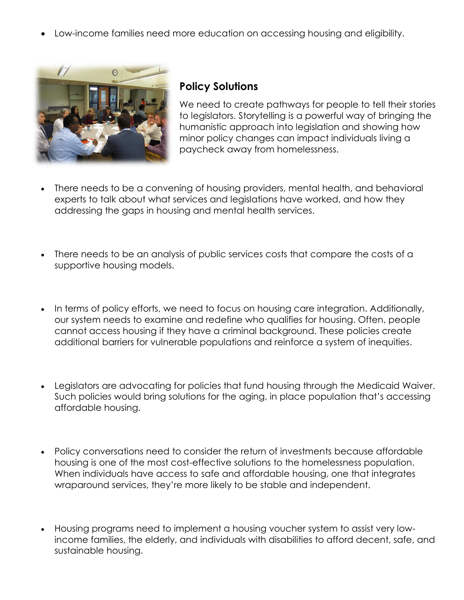• Low-income families need more education on accessing housing and eligibility.



#### **Policy Solutions**

We need to create pathways for people to tell their stories to legislators. Storytelling is a powerful way of bringing the humanistic approach into legislation and showing how minor policy changes can impact individuals living a paycheck away from homelessness.

- There needs to be a convening of housing providers, mental health, and behavioral experts to talk about what services and legislations have worked, and how they addressing the gaps in housing and mental health services.
- There needs to be an analysis of public services costs that compare the costs of a supportive housing models.
- In terms of policy efforts, we need to focus on housing care integration. Additionally, our system needs to examine and redefine who qualifies for housing. Often, people cannot access housing if they have a criminal background. These policies create additional barriers for vulnerable populations and reinforce a system of inequities.
- Legislators are advocating for policies that fund housing through the Medicaid Waiver. Such policies would bring solutions for the aging, in place population that's accessing affordable housing.
- Policy conversations need to consider the return of investments because affordable housing is one of the most cost-effective solutions to the homelessness population. When individuals have access to safe and affordable housing, one that integrates wraparound services, they're more likely to be stable and independent.
- Housing programs need to implement a housing voucher system to assist very lowincome families, the elderly, and individuals with disabilities to afford decent, safe, and sustainable housing.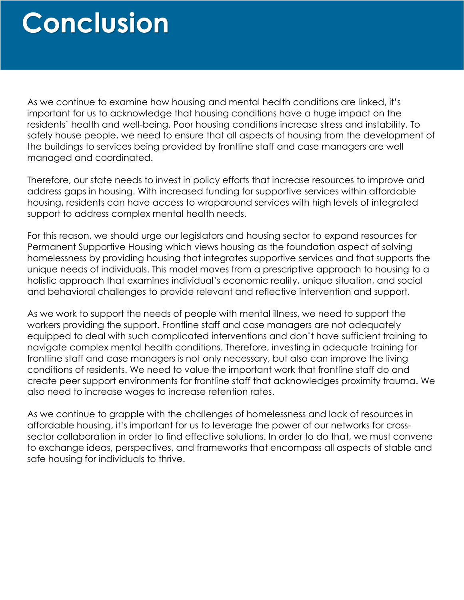### **Conclusion**

As we continue to examine how housing and mental health conditions are linked, it's important for us to acknowledge that housing conditions have a huge impact on the residents' health and well-being. Poor housing conditions increase stress and instability. To safely house people, we need to ensure that all aspects of housing from the development of the buildings to services being provided by frontline staff and case managers are well managed and coordinated.

Therefore, our state needs to invest in policy efforts that increase resources to improve and address gaps in housing. With increased funding for supportive services within affordable housing, residents can have access to wraparound services with high levels of integrated support to address complex mental health needs.

For this reason, we should urge our legislators and housing sector to expand resources for Permanent Supportive Housing which views housing as the foundation aspect of solving homelessness by providing housing that integrates supportive services and that supports the unique needs of individuals. This model moves from a prescriptive approach to housing to a holistic approach that examines individual's economic reality, unique situation, and social and behavioral challenges to provide relevant and reflective intervention and support.

As we work to support the needs of people with mental illness, we need to support the workers providing the support. Frontline staff and case managers are not adequately equipped to deal with such complicated interventions and don't have sufficient training to navigate complex mental health conditions. Therefore, investing in adequate training for frontline staff and case managers is not only necessary, but also can improve the living conditions of residents. We need to value the important work that frontline staff do and create peer support environments for frontline staff that acknowledges proximity trauma. We also need to increase wages to increase retention rates.

As we continue to grapple with the challenges of homelessness and lack of resources in affordable housing, it's important for us to leverage the power of our networks for crosssector collaboration in order to find effective solutions. In order to do that, we must convene to exchange ideas, perspectives, and frameworks that encompass all aspects of stable and safe housing for individuals to thrive.